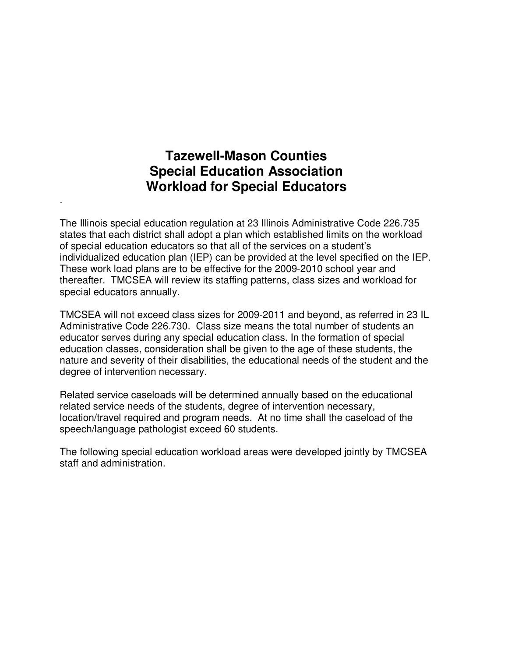### **Tazewell-Mason Counties Special Education Association Workload for Special Educators**

.

The Illinois special education regulation at 23 Illinois Administrative Code 226.735 states that each district shall adopt a plan which established limits on the workload of special education educators so that all of the services on a student's individualized education plan (IEP) can be provided at the level specified on the IEP. These work load plans are to be effective for the 2009-2010 school year and thereafter. TMCSEA will review its staffing patterns, class sizes and workload for special educators annually.

TMCSEA will not exceed class sizes for 2009-2011 and beyond, as referred in 23 IL Administrative Code 226.730. Class size means the total number of students an educator serves during any special education class. In the formation of special education classes, consideration shall be given to the age of these students, the nature and severity of their disabilities, the educational needs of the student and the degree of intervention necessary.

Related service caseloads will be determined annually based on the educational related service needs of the students, degree of intervention necessary, location/travel required and program needs. At no time shall the caseload of the speech/language pathologist exceed 60 students.

The following special education workload areas were developed jointly by TMCSEA staff and administration.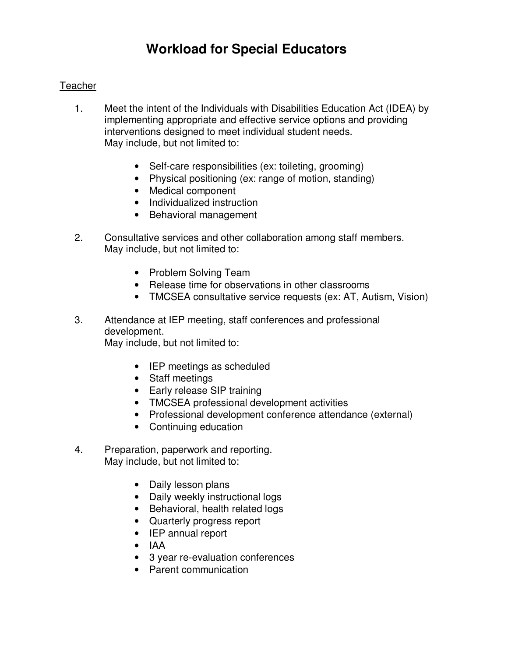### **Teacher**

- 1. Meet the intent of the Individuals with Disabilities Education Act (IDEA) by implementing appropriate and effective service options and providing interventions designed to meet individual student needs. May include, but not limited to:
	- Self-care responsibilities (ex: toileting, grooming)
	- Physical positioning (ex: range of motion, standing)
	- Medical component
	- Individualized instruction
	- Behavioral management
- 2. Consultative services and other collaboration among staff members. May include, but not limited to:
	- Problem Solving Team
	- Release time for observations in other classrooms
	- TMCSEA consultative service requests (ex: AT, Autism, Vision)
- 3. Attendance at IEP meeting, staff conferences and professional development.

May include, but not limited to:

- IEP meetings as scheduled
- Staff meetings
- Early release SIP training
- TMCSEA professional development activities
- Professional development conference attendance (external)
- Continuing education
- 4. Preparation, paperwork and reporting. May include, but not limited to:
	- Daily lesson plans
	- Daily weekly instructional logs
	- Behavioral, health related logs
	- Quarterly progress report
	- IEP annual report
	- IAA
	- 3 year re-evaluation conferences
	- Parent communication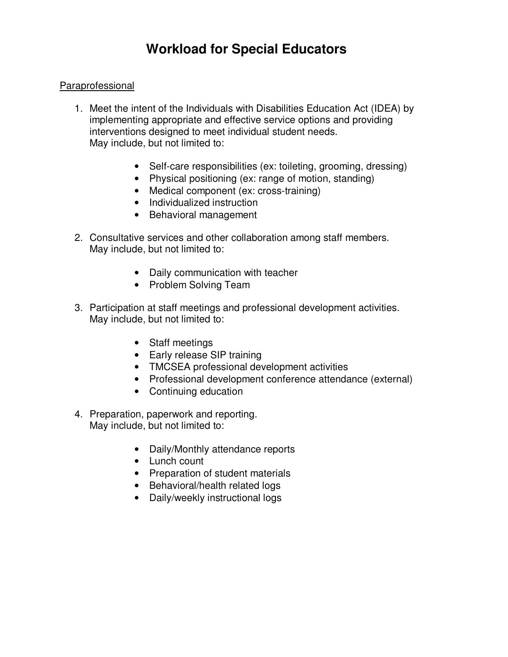### Paraprofessional

- 1. Meet the intent of the Individuals with Disabilities Education Act (IDEA) by implementing appropriate and effective service options and providing interventions designed to meet individual student needs. May include, but not limited to:
	- Self-care responsibilities (ex: toileting, grooming, dressing)
	- Physical positioning (ex: range of motion, standing)
	- Medical component (ex: cross-training)
	- Individualized instruction
	- Behavioral management
- 2. Consultative services and other collaboration among staff members. May include, but not limited to:
	- Daily communication with teacher
	- Problem Solving Team
- 3. Participation at staff meetings and professional development activities. May include, but not limited to:
	- Staff meetings
	- Early release SIP training
	- TMCSEA professional development activities
	- Professional development conference attendance (external)
	- Continuing education
- 4. Preparation, paperwork and reporting. May include, but not limited to:
	- Daily/Monthly attendance reports
	- Lunch count
	- Preparation of student materials
	- Behavioral/health related logs
	- Daily/weekly instructional logs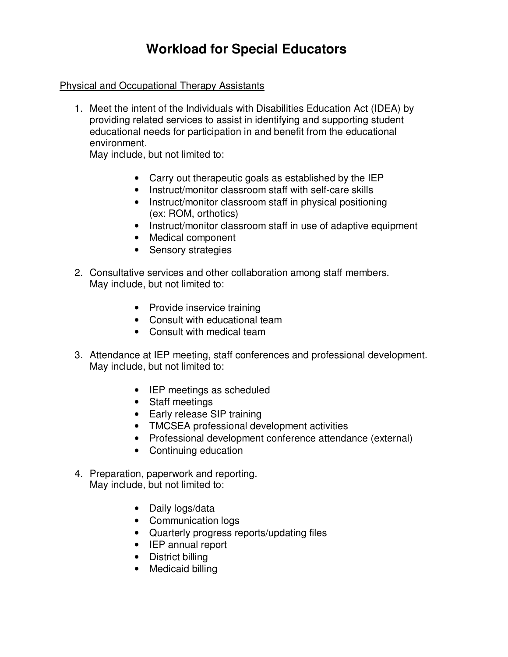### Physical and Occupational Therapy Assistants

1. Meet the intent of the Individuals with Disabilities Education Act (IDEA) by providing related services to assist in identifying and supporting student educational needs for participation in and benefit from the educational environment.

May include, but not limited to:

- Carry out therapeutic goals as established by the IEP
- Instruct/monitor classroom staff with self-care skills
- Instruct/monitor classroom staff in physical positioning (ex: ROM, orthotics)
- Instruct/monitor classroom staff in use of adaptive equipment
- Medical component
- Sensory strategies
- 2. Consultative services and other collaboration among staff members. May include, but not limited to:
	- Provide inservice training
	- Consult with educational team
	- Consult with medical team
- 3. Attendance at IEP meeting, staff conferences and professional development. May include, but not limited to:
	- IEP meetings as scheduled
	- Staff meetings
	- Early release SIP training
	- TMCSEA professional development activities
	- Professional development conference attendance (external)
	- Continuing education
- 4. Preparation, paperwork and reporting. May include, but not limited to:
	- Daily logs/data
	- Communication logs
	- Quarterly progress reports/updating files
	- IEP annual report
	- District billing
	- Medicaid billing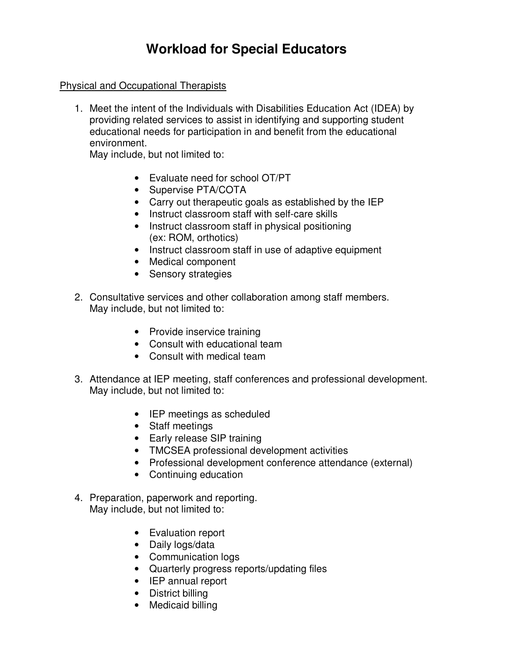#### Physical and Occupational Therapists

1. Meet the intent of the Individuals with Disabilities Education Act (IDEA) by providing related services to assist in identifying and supporting student educational needs for participation in and benefit from the educational environment.

May include, but not limited to:

- Evaluate need for school OT/PT
- Supervise PTA/COTA
- Carry out therapeutic goals as established by the IEP
- Instruct classroom staff with self-care skills
- Instruct classroom staff in physical positioning (ex: ROM, orthotics)
- Instruct classroom staff in use of adaptive equipment
- Medical component
- Sensory strategies
- 2. Consultative services and other collaboration among staff members. May include, but not limited to:
	- Provide inservice training
	- Consult with educational team
	- Consult with medical team
- 3. Attendance at IEP meeting, staff conferences and professional development. May include, but not limited to:
	- IEP meetings as scheduled
	- Staff meetings
	- Early release SIP training
	- TMCSEA professional development activities
	- Professional development conference attendance (external)
	- Continuing education
- 4. Preparation, paperwork and reporting. May include, but not limited to:
	- Evaluation report
	- Daily logs/data
	- Communication logs
	- Quarterly progress reports/updating files
	- IEP annual report
	- District billing
	- Medicaid billing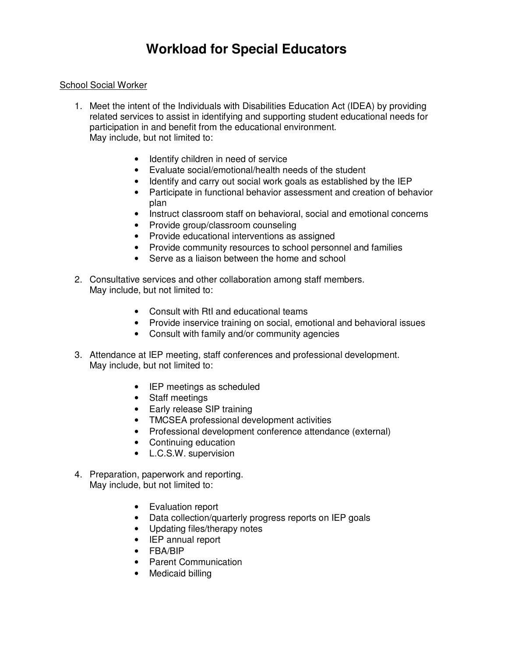#### School Social Worker

- 1. Meet the intent of the Individuals with Disabilities Education Act (IDEA) by providing related services to assist in identifying and supporting student educational needs for participation in and benefit from the educational environment. May include, but not limited to:
	- Identify children in need of service
	- Evaluate social/emotional/health needs of the student
	- Identify and carry out social work goals as established by the IEP
	- Participate in functional behavior assessment and creation of behavior plan
	- Instruct classroom staff on behavioral, social and emotional concerns
	- Provide group/classroom counseling
	- Provide educational interventions as assigned
	- Provide community resources to school personnel and families
	- Serve as a liaison between the home and school
- 2. Consultative services and other collaboration among staff members. May include, but not limited to:
	- Consult with RtI and educational teams
	- Provide inservice training on social, emotional and behavioral issues
	- Consult with family and/or community agencies
- 3. Attendance at IEP meeting, staff conferences and professional development. May include, but not limited to:
	- IEP meetings as scheduled
	- Staff meetings
	- Early release SIP training
	- TMCSEA professional development activities
	- Professional development conference attendance (external)
	- Continuing education
	- L.C.S.W. supervision
- 4. Preparation, paperwork and reporting. May include, but not limited to:
	- Evaluation report
	- Data collection/quarterly progress reports on IEP goals
	- Updating files/therapy notes
	- IEP annual report
	- FBA/BIP
	- Parent Communication
	- Medicaid billing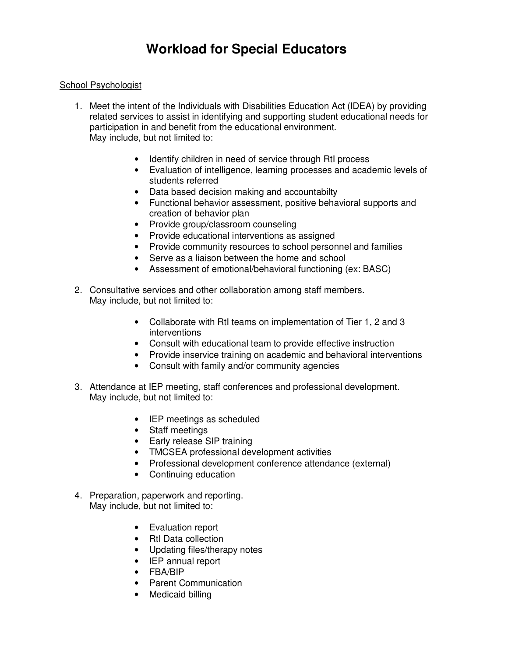#### School Psychologist

- 1. Meet the intent of the Individuals with Disabilities Education Act (IDEA) by providing related services to assist in identifying and supporting student educational needs for participation in and benefit from the educational environment. May include, but not limited to:
	- Identify children in need of service through RtI process
	- Evaluation of intelligence, learning processes and academic levels of students referred
	- Data based decision making and accountabilty
	- Functional behavior assessment, positive behavioral supports and creation of behavior plan
	- Provide group/classroom counseling
	- Provide educational interventions as assigned
	- Provide community resources to school personnel and families
	- Serve as a liaison between the home and school
	- Assessment of emotional/behavioral functioning (ex: BASC)
- 2. Consultative services and other collaboration among staff members. May include, but not limited to:
	- Collaborate with RtI teams on implementation of Tier 1, 2 and 3 interventions
	- Consult with educational team to provide effective instruction
	- Provide inservice training on academic and behavioral interventions
	- Consult with family and/or community agencies
- 3. Attendance at IEP meeting, staff conferences and professional development. May include, but not limited to:
	- IEP meetings as scheduled
	- Staff meetings
	- Early release SIP training
	- TMCSEA professional development activities
	- Professional development conference attendance (external)
	- Continuing education
- 4. Preparation, paperwork and reporting. May include, but not limited to:
	- Evaluation report
	- RtI Data collection
	- Updating files/therapy notes
	- IEP annual report
	- FBA/BIP
	- Parent Communication
	- Medicaid billing